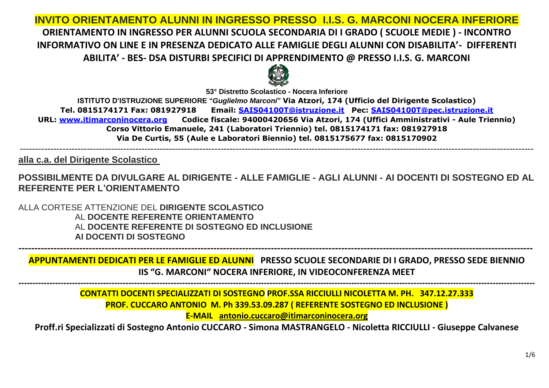# **INVITO ORIENTAMENTO ALUNNI IN INGRESSO PRESSO I.I.S. G. MARCONI NOCERA INFERIORE ORIENTAMENTO IN INGRESSO PER ALUNNI SCUOLA SECONDARIA DI I GRADO ( SCUOLE MEDIE ) - INCONTRO INFORMATIVO ON LINE E IN PRESENZA DEDICATO ALLE FAMIGLIE DEGLI ALUNNI CON DISABILITA'- DIFFERENTI ABILITA' - BES- DSA DISTURBI SPECIFICI DI APPRENDIMENTO @ PRESSO I.I.S. G. MARCONI**



**53° Distretto Scolastico - Nocera Inferiore**

**ISTITUTO D'ISTRUZIONE SUPERIORE "***Guglielmo Marconi***" Via Atzori, 174 (Ufficio del Dirigente Scolastico) Tel. 0815174171 Fax: 081927918 Email: [SAIS04100T@istruzione.it](mailto:SAIS04100T@istruzione.it) Pec: [SAIS04100T@pec.istruzione.it](mailto:SAIS04100T@pec.istruzione.it) URL: [www.itimarconinocera.org](http://www.itimarconinocera.org/) Codice fiscale: 94000420656 Via Atzori, 174 (Uffici Amministrativi - Aule Triennio) Corso Vittorio Emanuele, 241 (Laboratori Triennio) tel. 0815174171 fax: 081927918 Via De Curtis, 55 (Aule e Laboratori Biennio) tel. 0815175677 fax: 0815170902**

-------------------------------------------------------------------------------------------------------------------------------------------------------------------------

**alla c.a. del Dirigente Scolastico**

**POSSIBILMENTE DA DIVULGARE AL DIRIGENTE - ALLE FAMIGLIE - AGLI ALUNNI - AI DOCENTI DI SOSTEGNO ED AL REFERENTE PER L'ORIENTAMENTO**

ALLA CORTESE ATTENZIONE DEL **DIRIGENTE SCOLASTICO** AL **DOCENTE REFERENTE ORIENTAMENTO** AL **DOCENTE REFERENTE DI SOSTEGNO ED INCLUSIONE AI DOCENTI DI SOSTEGNO**

**APPUNTAMENTI DEDICATI PER LE FAMIGLIE ED ALUNNI PRESSO SCUOLE SECONDARIE DI I GRADO, PRESSO SEDE BIENNIO IIS "G. MARCONI" NOCERA INFERIORE, IN VIDEOCONFERENZA MEET**

**---------------------------------------------------------------------------------------------------------------------------------------------------------------------------------------**

**-----------------------------------------------------------------------------------------------------------------------------------------------------------------**

**CONTATTI DOCENTI SPECIALIZZATI DI SOSTEGNO PROF.SSA RICCIULLI NICOLETTA M. PH. 347.12.27.333 PROF. CUCCARO ANTONIO M. Ph 339.53.09.287 ( REFERENTE SOSTEGNO ED INCLUSIONE ) E-MAIL [antonio.cuccaro@itimarconinocera.org](mailto:antonio.cuccaro@itimarconinocera.org)**

**Proff.ri Specializzati di Sostegno Antonio CUCCARO - Simona MASTRANGELO - Nicoletta RICCIULLI - Giuseppe Calvanese**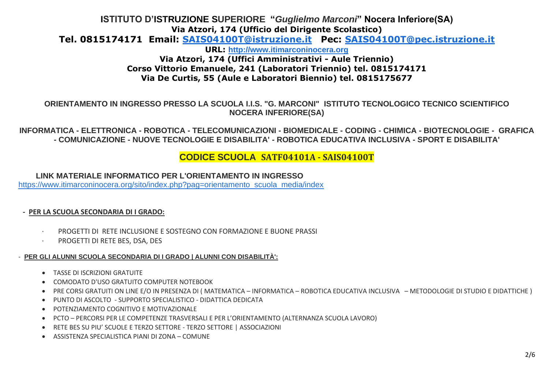# **ISTITUTO D'ISTRUZIONE SUPERIORE "***Guglielmo Marconi***" Nocera Inferiore(SA) Via Atzori, 174 (Ufficio del Dirigente Scolastico)**

**Tel. 0815174171 Email: [SAIS04100T@istruzione.it](mailto:SAIS04100T@istruzione.it) Pec: [SAIS04100T@pec.istruzione.it](mailto:SAIS04100T@pec.istruzione.it)**

**URL: [http://www.itimarconinocera.org](http://www.itimarconinocera.org/) Via Atzori, 174 (Uffici Amministrativi - Aule Triennio) Corso Vittorio Emanuele, 241 (Laboratori Triennio) tel. 0815174171 Via De Curtis, 55 (Aule e Laboratori Biennio) tel. 0815175677**

## **ORIENTAMENTO IN INGRESSO PRESSO LA SCUOLA I.I.S. "G. MARCONI" ISTITUTO TECNOLOGICO TECNICO SCIENTIFICO NOCERA INFERIORE(SA)**

**INFORMATICA - ELETTRONICA - ROBOTICA - TELECOMUNICAZIONI - BIOMEDICALE - CODING - CHIMICA - BIOTECNOLOGIE - GRAFICA - COMUNICAZIONE - NUOVE TECNOLOGIE E DISABILITA' - ROBOTICA EDUCATIVA INCLUSIVA - SPORT E DISABILITA'**

# **CODICE SCUOLA SATF04101A - SAIS04100T**

**LINK MATERIALE INFORMATICO PER L'ORIENTAMENTO IN INGRESSO**

[https://www.itimarconinocera.org/sito/index.php?pag=orientamento\\_scuola\\_media/index](https://www.itimarconinocera.org/sito/index.php?pag=orientamento_scuola_media/index)

### **- PER LA SCUOLA SECONDARIA DI I GRADO:**

- · PROGETTI DI RETE INCLUSIONE E SOSTEGNO CON FORMAZIONE E BUONE PRASSI
- PROGETTI DI RETE BES, DSA, DES

### - **PER GLI ALUNNI SCUOLA SECONDARIA DI I GRADO | ALUNNI CON DISABILITÀ':**

- TASSE DI ISCRIZIONI GRATUITE
- COMODATO D'USO GRATUITO COMPUTER NOTEBOOK
- PRE CORSI GRATUITI ON LINE E/O IN PRESENZA DI ( MATEMATICA INFORMATICA ROBOTICA EDUCATIVA INCLUSIVA METODOLOGIE DI STUDIO E DIDATTICHE )
- PUNTO DI ASCOLTO SUPPORTO SPECIALISTICO DIDATTICA DEDICATA
- POTENZIAMENTO COGNITIVO E MOTIVAZIONALE
- PCTO PERCORSI PER LE COMPETENZE TRASVERSALI E PER L'ORIENTAMENTO (ALTERNANZA SCUOLA LAVORO)
- RETE BES SU PIU' SCUOLE E TERZO SETTORE TERZO SETTORE | ASSOCIAZIONI
- ASSISTENZA SPECIALISTICA PIANI DI ZONA COMUNE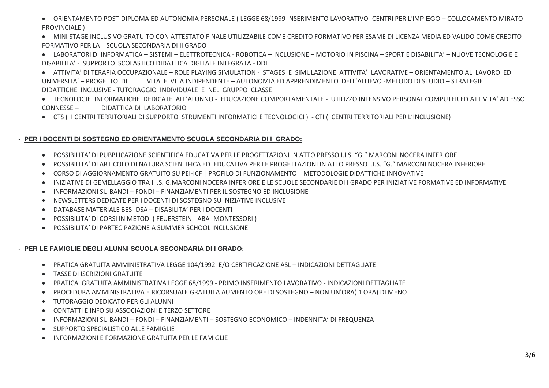• ORIENTAMENTO POST-DIPLOMA ED AUTONOMIA PERSONALE ( LEGGE 68/1999 INSERIMENTO LAVORATIVO- CENTRI PER L'IMPIEGO – COLLOCAMENTO MIRATO PROVINCIALE )

• MINI STAGE INCLUSIVO GRATUITO CON ATTESTATO FINALE UTILIZZABILE COME CREDITO FORMATIVO PER ESAME DI LICENZA MEDIA ED VALIDO COME CREDITO FORMATIVO PER LA SCUOLA SECONDARIA DI II GRADO

• LABORATORI DI INFORMATICA – SISTEMI – ELETTROTECNICA - ROBOTICA – INCLUSIONE – MOTORIO IN PISCINA – SPORT E DISABILITA' – NUOVE TECNOLOGIE E DISABILITA' - SUPPORTO SCOLASTICO DIDATTICA DIGITALE INTEGRATA - DDI

• ATTIVITA' DI TERAPIA OCCUPAZIONALE – ROLE PLAYING SIMULATION - STAGES E SIMULAZIONE ATTIVITA' LAVORATIVE – ORIENTAMENTO AL LAVORO ED UNIVERSITA' – PROGETTO DI VITA E VITA INDIPENDENTE – AUTONOMIA ED APPRENDIMENTO DELL'ALLIEVO -METODO DI STUDIO – STRATEGIE DIDATTICHE INCLUSIVE - TUTORAGGIO INDIVIDUALE E NEL GRUPPO CLASSE

• TECNOLOGIE INFORMATICHE DEDICATE ALL'ALUNNO - EDUCAZIONE COMPORTAMENTALE - UTILIZZO INTENSIVO PERSONAL COMPUTER ED ATTIVITA' AD ESSO CONNESSE – DIDATTICA DI LABORATORIO

• CTS ( I CENTRI TERRITORIALI DI SUPPORTO STRUMENTI INFORMATICI E TECNOLOGICI ) - CTI ( CENTRI TERRITORIALI PER L'INCLUSIONE)

### **- PER I DOCENTI DI SOSTEGNO ED ORIENTAMENTO SCUOLA SECONDARIA DI I GRADO:**

- POSSIBILITA' DI PUBBLICAZIONE SCIENTIFICA EDUCATIVA PER LE PROGETTAZIONI IN ATTO PRESSO I.I.S. "G." MARCONI NOCERA INFERIORE
- POSSIBILITA' DI ARTICOLO DI NATURA SCIENTIFICA ED EDUCATIVA PER LE PROGETTAZIONI IN ATTO PRESSO I.I.S. "G." MARCONI NOCERA INFERIORE
- CORSO DI AGGIORNAMENTO GRATUITO SU PEI-ICF | PROFILO DI FUNZIONAMENTO | METODOLOGIE DIDATTICHE INNOVATIVE
- INIZIATIVE DI GEMELLAGGIO TRA I.I.S. G.MARCONI NOCERA INFERIORE E LE SCUOLE SECONDARIE DI I GRADO PER INIZIATIVE FORMATIVE ED INFORMATIVE
- INFORMAZIONI SU BANDI FONDI FINANZIAMENTI PER IL SOSTEGNO ED INCLUSIONE
- NEWSLETTERS DEDICATE PER I DOCENTI DI SOSTEGNO SU INIZIATIVE INCLUSIVE
- DATABASE MATERIALE BES -DSA DISABILITA' PER I DOCENTI
- POSSIBILITA' DI CORSI IN METODI ( FEUERSTEIN ABA -MONTESSORI )
- POSSIBILITA' DI PARTECIPAZIONE A SUMMER SCHOOL INCLUSIONE

#### **- PER LE FAMIGLIE DEGLI ALUNNI SCUOLA SECONDARIA DI I GRADO:**

- PRATICA GRATUITA AMMINISTRATIVA LEGGE 104/1992 E/O CERTIFICAZIONE ASL INDICAZIONI DETTAGLIATE
- TASSE DI ISCRIZIONI GRATUITE
- PRATICA GRATUITA AMMINISTRATIVA LEGGE 68/1999 PRIMO INSERIMENTO LAVORATIVO INDICAZIONI DETTAGLIATE
- PROCEDURA AMMINISTRATIVA E RICORSUALE GRATUITA AUMENTO ORE DI SOSTEGNO NON UN'ORA( 1 ORA) DI MENO
- TUTORAGGIO DEDICATO PER GLI ALUNNI
- CONTATTI E INFO SU ASSOCIAZIONI E TERZO SETTORE
- INFORMAZIONI SU BANDI FONDI FINANZIAMENTI SOSTEGNO ECONOMICO INDENNITA' DI FREQUENZA
- SUPPORTO SPECIALISTICO ALLE FAMIGLIE
- INFORMAZIONI E FORMAZIONE GRATUITA PER LE FAMIGLIE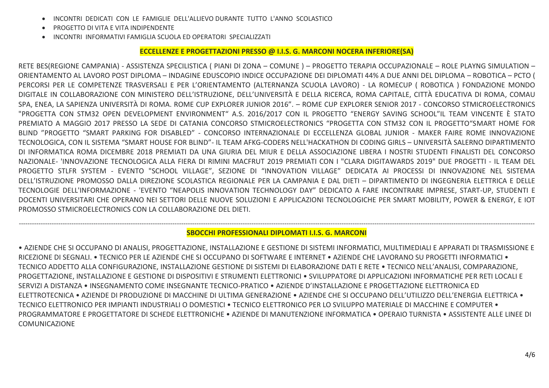- INCONTRI DEDICATI CON LE FAMIGLIE DELL'ALLIEVO DURANTE TUTTO L'ANNO SCOLASTICO
- PROGETTO DI VITA E VITA INDIPENDENTE
- INCONTRI INFORMATIVI FAMIGLIA SCUOLA ED OPERATORI SPECIALIZZATI

#### **ECCELLENZE E PROGETTAZIONI PRESSO @ I.I.S. G. MARCONI NOCERA INFERIORE(SA)**

RETE BES(REGIONE CAMPANIA) - ASSISTENZA SPECILISTICA ( PIANI DI ZONA – COMUNE ) – PROGETTO TERAPIA OCCUPAZIONALE – ROLE PLAYNG SIMULATION – ORIENTAMENTO AL LAVORO POST DIPLOMA – INDAGINE EDUSCOPIO INDICE OCCUPAZIONE DEI DIPLOMATI 44% A DUE ANNI DEL DIPLOMA – ROBOTICA – PCTO ( PERCORSI PER LE COMPETENZE TRASVERSALI E PER L'ORIENTAMENTO (ALTERNANZA SCUOLA LAVORO) - LA ROMECUP ( ROBOTICA ) FONDAZIONE MONDO DIGITALE IN COLLABORAZIONE CON MINISTERO DELL'ISTRUZIONE, DELL'UNIVERSITÀ E DELLA RICERCA, ROMA CAPITALE, CITTÀ EDUCATIVA DI ROMA, COMAU SPA, ENEA, LA SAPIENZA UNIVERSITÀ DI ROMA. ROME CUP EXPLORER JUNIOR 2016". – ROME CUP EXPLORER SENIOR 2017 - CONCORSO STMICROELECTRONICS "PROGETTA CON STM32 OPEN DEVELOPMENT ENVIRONMENT" A.S. 2016/2017 CON IL PROGETTO "ENERGY SAVING SCHOOL"IL TEAM VINCENTE È STATO PREMIATO A MAGGIO 2017 PRESSO LA SEDE DI CATANIA CONCORSO STMICROELECTRONICS "PROGETTA CON STM32 CON IL PROGETTO"SMART HOME FOR BLIND "PROGETTO "SMART PARKING FOR DISABLED" - CONCORSO INTERNAZIONALE DI ECCELLENZA GLOBAL JUNIOR - MAKER FAIRE ROME INNOVAZIONE TECNOLOGICA, CON IL SISTEMA "SMART HOUSE FOR BLIND"- IL TEAM AFKG-CODERS NELL'HACKATHON DI CODING GIRLS – UNIVERSITÀ SALERNO DIPARTIMENTO DI INFORMATICA ROMA DICEMBRE 2018 PREMIATI DA UNA GIURIA DEL MIUR E DELLA ASSOCIAZIONE LIBERA I NOSTRI STUDENTI FINALISTI DEL CONCORSO NAZIONALE- 'INNOVAZIONE TECNOLOGICA ALLA FIERA DI RIMINI MACFRUT 2019 PREMIATI CON I "CLARA DIGITAWARDS 2019" DUE PROGETTI - IL TEAM DEL PROGETTO STLFR SYSTEM - EVENTO "SCHOOL VILLAGE", SEZIONE DI "INNOVATION VILLAGE" DEDICATA AI PROCESSI DI INNOVAZIONE NEL SISTEMA DELL'ISTRUZIONE PROMOSSO DALLA DIREZIONE SCOLASTICA REGIONALE PER LA CAMPANIA E DAL DIETI – DIPARTIMENTO DI INGEGNERIA ELETTRICA E DELLE TECNOLOGIE DELL'INFORMAZIONE - 'EVENTO "NEAPOLIS INNOVATION TECHNOLOGY DAY" DEDICATO A FARE INCONTRARE IMPRESE, START-UP, STUDENTI E DOCENTI UNIVERSITARI CHE OPERANO NEI SETTORI DELLE NUOVE SOLUZIONI E APPLICAZIONI TECNOLOGICHE PER SMART MOBILITY, POWER & ENERGY, E IOT PROMOSSO STMICROELECTRONICS CON LA COLLABORAZIONE DEL DIETI.

#### ------------------------------------------------------------------------------------------------------------------------------------------------------------------------------------------------------------------------------------------- **SBOCCHI PROFESSIONALI DIPLOMATI I.I.S. G. MARCONI**

• AZIENDE CHE SI OCCUPANO DI ANALISI, PROGETTAZIONE, INSTALLAZIONE E GESTIONE DI SISTEMI INFORMATICI, MULTIMEDIALI E APPARATI DI TRASMISSIONE E RICEZIONE DI SEGNALI. • TECNICO PER LE AZIENDE CHE SI OCCUPANO DI SOFTWARE E INTERNET • AZIENDE CHE LAVORANO SU PROGETTI INFORMATICI • TECNICO ADDETTO ALLA CONFIGURAZIONE, INSTALLAZIONE GESTIONE DI SISTEMI DI ELABORAZIONE DATI E RETE • TECNICO NELL'ANALISI, COMPARAZIONE, PROGETTAZIONE, INSTALLAZIONE E GESTIONE DI DISPOSITIVI E STRUMENTI ELETTRONICI • SVILUPPATORE DI APPLICAZIONI INFORMATICHE PER RETI LOCALI E SERVIZI A DISTANZA • INSEGNAMENTO COME INSEGNANTE TECNICO-PRATICO • AZIENDE D'INSTALLAZIONE E PROGETTAZIONE ELETTRONICA ED ELETTROTECNICA • AZIENDE DI PRODUZIONE DI MACCHINE DI ULTIMA GENERAZIONE • AZIENDE CHE SI OCCUPANO DELL'UTILIZZO DELL'ENERGIA ELETTRICA • TECNICO ELETTRONICO PER IMPIANTI INDUSTRIALI O DOMESTICI • TECNICO ELETTRONICO PER LO SVILUPPO MATERIALE DI MACCHINE E COMPUTER • PROGRAMMATORE E PROGETTATORE DI SCHEDE ELETTRONICHE • AZIENDE DI MANUTENZIONE INFORMATICA • OPERAIO TURNISTA • ASSISTENTE ALLE LINEE DI COMUNICAZIONE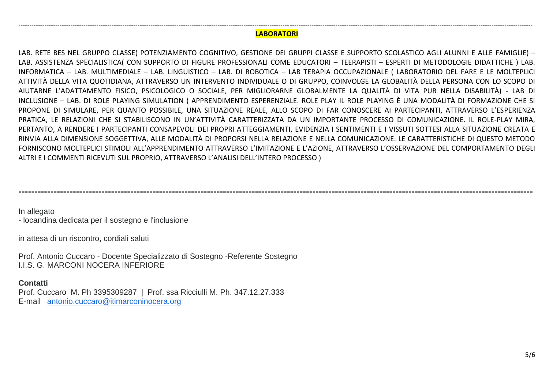#### --------------------------------------------------------------------------------------------------------------------------------------------------------------------------------------------------------------------------------------------- **LABORATORI**

LAB. RETE BES NEL GRUPPO CLASSE( POTENZIAMENTO COGNITIVO, GESTIONE DEI GRUPPI CLASSE E SUPPORTO SCOLASTICO AGLI ALUNNI E ALLE FAMIGLIE) – LAB. ASSISTENZA SPECIALISTICA( CON SUPPORTO DI FIGURE PROFESSIONALI COME EDUCATORI – TEERAPISTI – ESPERTI DI METODOLOGIE DIDATTICHE ) LAB. INFORMATICA – LAB. MULTIMEDIALE – LAB. LINGUISTICO – LAB. DI ROBOTICA – LAB TERAPIA OCCUPAZIONALE ( LABORATORIO DEL FARE E LE MOLTEPLICI ATTIVITÀ DELLA VITA QUOTIDIANA, ATTRAVERSO UN INTERVENTO INDIVIDUALE O DI GRUPPO, COINVOLGE LA GLOBALITÀ DELLA PERSONA CON LO SCOPO DI AIUTARNE L'ADATTAMENTO FISICO, PSICOLOGICO O SOCIALE, PER MIGLIORARNE GLOBALMENTE LA QUALITÀ DI VITA PUR NELLA DISABILITÀ) - LAB DI INCLUSIONE – LAB. DI ROLE PLAYING SIMULATION ( APPRENDIMENTO ESPERENZIALE. ROLE PLAY IL ROLE PLAYING È UNA MODALITÀ DI FORMAZIONE CHE SI PROPONE DI SIMULARE, PER QUANTO POSSIBILE, UNA SITUAZIONE REALE, ALLO SCOPO DI FAR CONOSCERE AI PARTECIPANTI, ATTRAVERSO L'ESPERIENZA PRATICA, LE RELAZIONI CHE SI STABILISCONO IN UN'ATTIVITÀ CARATTERIZZATA DA UN IMPORTANTE PROCESSO DI COMUNICAZIONE. IL ROLE-PLAY MIRA, PERTANTO, A RENDERE I PARTECIPANTI CONSAPEVOLI DEI PROPRI ATTEGGIAMENTI, EVIDENZIA I SENTIMENTI E I VISSUTI SOTTESI ALLA SITUAZIONE CREATA E RINVIA ALLA DIMENSIONE SOGGETTIVA, ALLE MODALITÀ DI PROPORSI NELLA RELAZIONE E NELLA COMUNICAZIONE. LE CARATTERISTICHE DI QUESTO METODO FORNISCONO MOLTEPLICI STIMOLI ALL'APPRENDIMENTO ATTRAVERSO L'IMITAZIONE E L'AZIONE, ATTRAVERSO L'OSSERVAZIONE DEL COMPORTAMENTO DEGLI ALTRI E I COMMENTI RICEVUTI SUL PROPRIO, ATTRAVERSO L'ANALISI DELL'INTERO PROCESSO )

**-----------------------------------------------------------------------------------------------------------------------------------------------------------------**

In allegato

- locandina dedicata per il sostegno e l'inclusione

in attesa di un riscontro, cordiali saluti

Prof. Antonio Cuccaro - Docente Specializzato di Sostegno -Referente Sostegno I.I.S. G. MARCONI NOCERA INFERIORE

#### **Contatti**

Prof. Cuccaro M. Ph 3395309287 | Prof. ssa Ricciulli M. Ph. 347.12.27.333 E-mail [antonio.cuccaro@itimarconinocera.org](mailto:antonio.cuccaro@itimarconinocera.org)